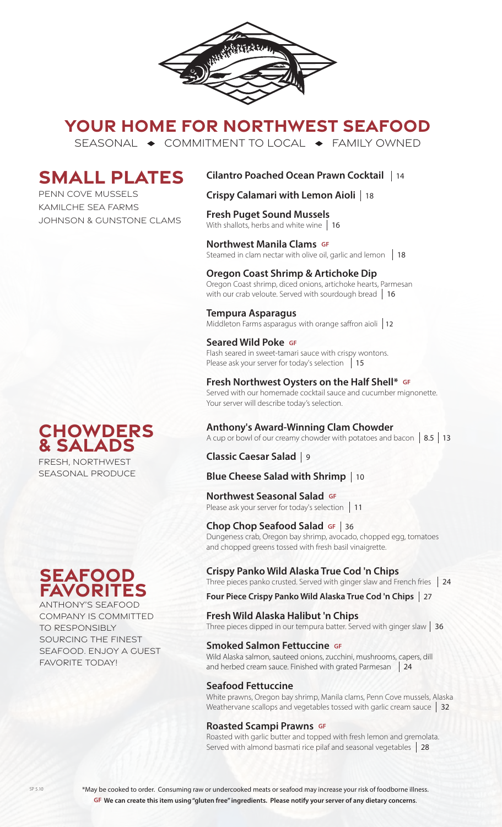

# **YOUR HOME FOR NORTHWEST SEAFOOD**

SEASONAL  $\rightarrow$  COMMITMENT TO LOCAL  $\rightarrow$  FAMILY OWNED

# **SMALL PLATES**

PENN COVE MUSSELS KAMILCHE SEA FARMS JOHNSON & GUNSTONE CLAMS

### **Cilantro Poached Ocean Prawn Cocktail**  14

**Crispy Calamari with Lemon Aioli**  18

#### **Fresh Puget Sound Mussels**

With shallots, herbs and white wine 16

#### **Northwest Manila Clams GF**

Steamed in clam nectar with olive oil, garlic and lemon 18

#### **Oregon Coast Shrimp & Artichoke Dip**

Oregon Coast shrimp, diced onions, artichoke hearts, Parmesan with our crab veloute. Served with sourdough bread 16

#### **Tempura Asparagus**

Middleton Farms asparagus with orange saffron aioli 12

#### **Seared Wild Poke GF**

Flash seared in sweet-tamari sauce with crispy wontons. Please ask your server for today's selection 15

#### **Fresh Northwest Oysters on the Half Shell\* GF**

Served with our homemade cocktail sauce and cucumber mignonette. Your server will describe today's selection.

#### **Anthony's Award-Winning Clam Chowder**

A cup or bowl of our creamy chowder with potatoes and bacon **8.5 13** 

### **Classic Caesar Salad**  9

# **Blue Cheese Salad with Shrimp**  10

#### **Northwest Seasonal Salad GF**

**TOI LITWEST SEASOTIAT SATACE SET**<br>Please ask your server for today's selection | 11

#### **Chop Chop Seafood Salad GF**

**Chop Chop Seafood Salad GF | 36<br>Dungeness crab, Oregon bay shrimp, avocado, chopped egg, tomatoes** and chopped greens tossed with fresh basil vinaigrette.

#### **Crispy Panko Wild Alaska True Cod 'n Chips**

Three pieces panko crusted. Served with ginger slaw and French fries 24

**Four Piece Crispy Panko Wild Alaska True Cod 'n Chips**  27

#### **Fresh Wild Alaska Halibut 'n Chips**

Three pieces dipped in our tempura batter. Served with ginger slaw  $\mid 36$ 

#### **Smoked Salmon Fettuccine GF**

Wild Alaska salmon, sauteed onions, zucchini, mushrooms, capers, dill and herbed cream sauce. Finished with grated Parmesan | 24

#### **Seafood Fettuccine**

White prawns, Oregon bay shrimp, Manila clams, Penn Cove mussels, Alaska Weathervane scallops and vegetables tossed with garlic cream sauce 32

#### **Roasted Scampi Prawns GF**

Roasted with garlic butter and topped with fresh lemon and gremolata. Served with almond basmati rice pilaf and seasonal vegetables 28

### **Chowders & Salads** FRESH, NORTHWEST

SEASONAL PRODUCE

# **seafood favorites**

ANTHONY'S SEAFOOD COMPANY IS COMMITTED TO RESPONSIBLY SOURCING THE FINEST SEAFOOD. ENJOY A GUEST FAVORITE TODAY!